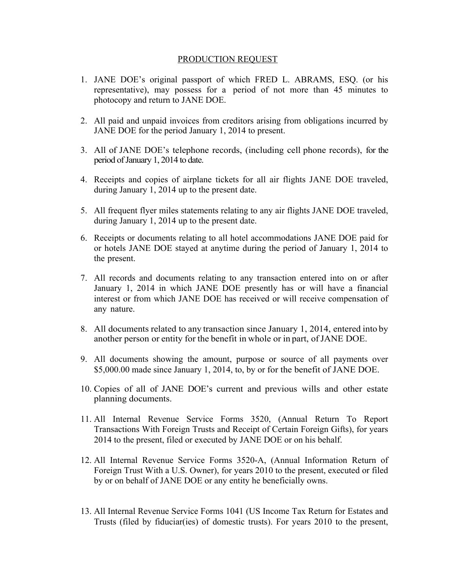## PRODUCTION REQUEST

- 1. JANE DOE's original passport of which FRED L. ABRAMS, ESQ. (or his representative), may possess for a period of not more than 45 minutes to photocopy and return to JANE DOE.
- 2. All paid and unpaid invoices from creditors arising from obligations incurred by JANE DOE for the period January 1, 2014 to present.
- 3. All of JANE DOE's telephone records, (including cell phone records), for the period of January 1, 2014 to date.
- 4. Receipts and copies of airplane tickets for all air flights JANE DOE traveled, during January 1, 2014 up to the present date.
- 5. All frequent flyer miles statements relating to any air flights JANE DOE traveled, during January 1, 2014 up to the present date.
- 6. Receipts or documents relating to all hotel accommodations JANE DOE paid for or hotels JANE DOE stayed at anytime during the period of January 1, 2014 to the present.
- 7. All records and documents relating to any transaction entered into on or after January 1, 2014 in which JANE DOE presently has or will have a financial interest or from which JANE DOE has received or will receive compensation of any nature.
- 8. All documents related to any transaction since January 1, 2014, entered into by another person or entity for the benefit in whole or in part, of JANE DOE.
- 9. All documents showing the amount, purpose or source of all payments over \$5,000.00 made since January 1, 2014, to, by or for the benefit of JANE DOE.
- 10. Copies of all of JANE DOE's current and previous wills and other estate planning documents.
- 11. All Internal Revenue Service Forms 3520, (Annual Return To Report Transactions With Foreign Trusts and Receipt of Certain Foreign Gifts), for years 2014 to the present, filed or executed by JANE DOE or on his behalf.
- 12. All Internal Revenue Service Forms 3520-A, (Annual Information Return of Foreign Trust With a U.S. Owner), for years 2010 to the present, executed or filed by or on behalf of JANE DOE or any entity he beneficially owns.
- 13. All Internal Revenue Service Forms 1041 (US Income Tax Return for Estates and Trusts (filed by fiduciar(ies) of domestic trusts). For years 2010 to the present,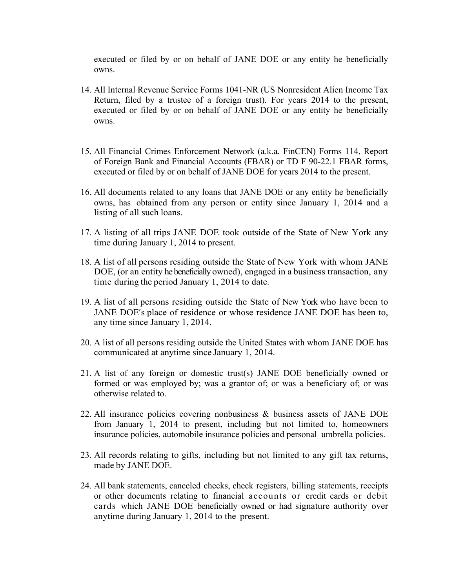executed or filed by or on behalf of JANE DOE or any entity he beneficially owns.

- 14. All Internal Revenue Service Forms 1041-NR (US Nonresident Alien Income Tax Return, filed by a trustee of a foreign trust). For years 2014 to the present, executed or filed by or on behalf of JANE DOE or any entity he beneficially owns.
- 15. All Financial Crimes Enforcement Network (a.k.a. FinCEN) Forms 114, Report of Foreign Bank and Financial Accounts (FBAR) or TD F 90-22.1 FBAR forms, executed or filed by or on behalf of JANE DOE for years 2014 to the present.
- 16. All documents related to any loans that JANE DOE or any entity he beneficially owns, has obtained from any person or entity since January 1, 2014 and a listing of all such loans.
- 17. A listing of all trips JANE DOE took outside of the State of New York any time during January 1, 2014 to present.
- 18. A list of all persons residing outside the State of New York with whom JANE DOE, (or an entity he beneficially owned), engaged in a business transaction, any time during the period January 1, 2014 to date.
- 19. A list of all persons residing outside the State of New York who have been to JANE DOE's place of residence or whose residence JANE DOE has been to, any time since January 1, 2014.
- 20. A list of all persons residing outside the United States with whom JANE DOE has communicated at anytime since January 1, 2014.
- 21. A list of any foreign or domestic trust(s) JANE DOE beneficially owned or formed or was employed by; was a grantor of; or was a beneficiary of; or was otherwise related to.
- 22. All insurance policies covering nonbusiness & business assets of JANE DOE from January 1, 2014 to present, including but not limited to, homeowners insurance policies, automobile insurance policies and personal umbrella policies.
- 23. All records relating to gifts, including but not limited to any gift tax returns, made by JANE DOE.
- 24. All bank statements, canceled checks, check registers, billing statements, receipts or other documents relating to financial accounts or credit cards or debit cards which JANE DOE beneficially owned or had signature authority over anytime during January 1, 2014 to the present.